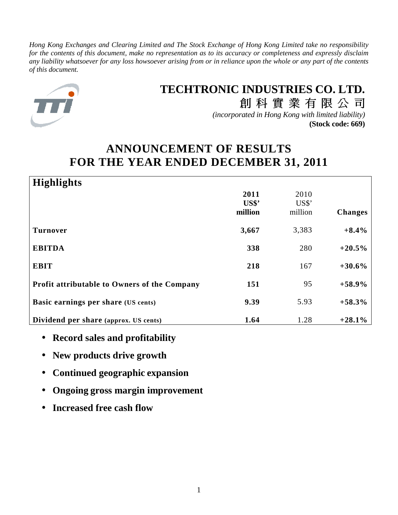*Hong Kong Exchanges and Clearing Limited and The Stock Exchange of Hong Kong Limited take no responsibility for the contents of this document, make no representation as to its accuracy or completeness and expressly disclaim any liability whatsoever for any loss howsoever arising from or in reliance upon the whole or any part of the contents of this document.*



# **TECHTRONIC INDUSTRIES CO. LTD.** 創科實業有限公司

*(incorporated in Hong Kong with limited liability)* **(Stock code: 669)**

# **ANNOUNCEMENT OF RESULTS FOR THE YEAR ENDED DECEMBER 31, 2011**

| <b>Highlights</b>                            |                  |                  |                |
|----------------------------------------------|------------------|------------------|----------------|
|                                              | 2011             | 2010             |                |
|                                              | US\$'<br>million | US\$'<br>million | <b>Changes</b> |
|                                              |                  |                  |                |
| <b>Turnover</b>                              | 3,667            | 3,383            | $+8.4%$        |
| <b>EBITDA</b>                                | 338              | 280              | $+20.5%$       |
| <b>EBIT</b>                                  | 218              | 167              | $+30.6\%$      |
| Profit attributable to Owners of the Company | 151              | 95               | $+58.9%$       |
| <b>Basic earnings per share (US cents)</b>   | 9.39             | 5.93             | $+58.3%$       |
| Dividend per share (approx. US cents)        | 1.64             | 1.28             | $+28.1%$       |

- **Record sales and profitability**
- **New products drive growth**
- **Continued geographic expansion**
- **Ongoing gross margin improvement**
- **Increased free cash flow**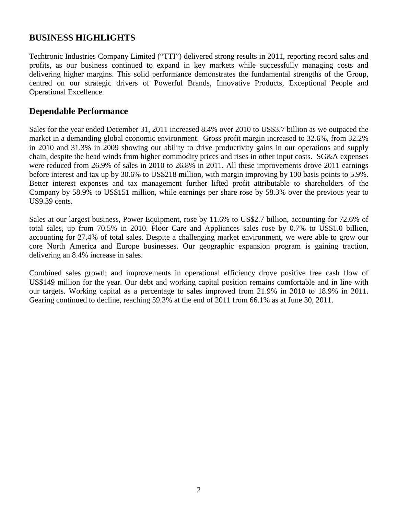# **BUSINESS HIGHLIGHTS**

Techtronic Industries Company Limited ("TTI") delivered strong results in 2011, reporting record sales and profits, as our business continued to expand in key markets while successfully managing costs and delivering higher margins. This solid performance demonstrates the fundamental strengths of the Group, centred on our strategic drivers of Powerful Brands, Innovative Products, Exceptional People and Operational Excellence.

# **Dependable Performance**

Sales for the year ended December 31, 2011 increased 8.4% over 2010 to US\$3.7 billion as we outpaced the market in a demanding global economic environment. Gross profit margin increased to 32.6%, from 32.2% in 2010 and 31.3% in 2009 showing our ability to drive productivity gains in our operations and supply chain, despite the head winds from higher commodity prices and rises in other input costs. SG&A expenses were reduced from 26.9% of sales in 2010 to 26.8% in 2011. All these improvements drove 2011 earnings before interest and tax up by 30.6% to US\$218 million, with margin improving by 100 basis points to 5.9%. Better interest expenses and tax management further lifted profit attributable to shareholders of the Company by 58.9% to US\$151 million, while earnings per share rose by 58.3% over the previous year to US9.39 cents.

Sales at our largest business, Power Equipment, rose by 11.6% to US\$2.7 billion, accounting for 72.6% of total sales, up from 70.5% in 2010. Floor Care and Appliances sales rose by 0.7% to US\$1.0 billion, accounting for 27.4% of total sales. Despite a challenging market environment, we were able to grow our core North America and Europe businesses. Our geographic expansion program is gaining traction, delivering an 8.4% increase in sales.

Combined sales growth and improvements in operational efficiency drove positive free cash flow of US\$149 million for the year. Our debt and working capital position remains comfortable and in line with our targets. Working capital as a percentage to sales improved from 21.9% in 2010 to 18.9% in 2011. Gearing continued to decline, reaching 59.3% at the end of 2011 from 66.1% as at June 30, 2011.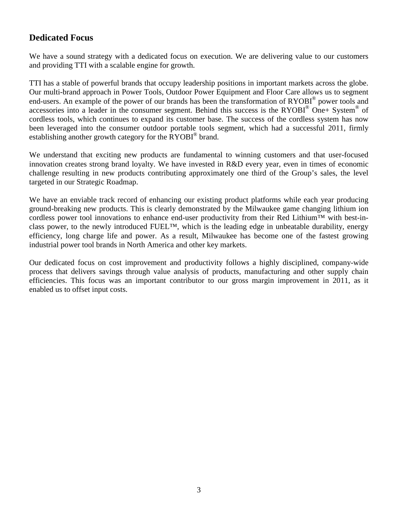# **Dedicated Focus**

We have a sound strategy with a dedicated focus on execution. We are delivering value to our customers and providing TTI with a scalable engine for growth.

TTI has a stable of powerful brands that occupy leadership positions in important markets across the globe. Our multi-brand approach in Power Tools, Outdoor Power Equipment and Floor Care allows us to segment end-users. An example of the power of our brands has been the transformation of RYOBI® power tools and accessories into a leader in the consumer segment. Behind this success is the RYOBI® One+ System® of cordless tools, which continues to expand its customer base. The success of the cordless system has now been leveraged into the consumer outdoor portable tools segment, which had a successful 2011, firmly establishing another growth category for the RYOBI<sup>®</sup> brand.

We understand that exciting new products are fundamental to winning customers and that user-focused innovation creates strong brand loyalty. We have invested in R&D every year, even in times of economic challenge resulting in new products contributing approximately one third of the Group's sales, the level targeted in our Strategic Roadmap.

We have an enviable track record of enhancing our existing product platforms while each year producing ground-breaking new products. This is clearly demonstrated by the Milwaukee game changing lithium ion cordless power tool innovations to enhance end-user productivity from their Red Lithium<sup>™</sup> with best-inclass power, to the newly introduced FUEL™, which is the leading edge in unbeatable durability, energy efficiency, long charge life and power. As a result, Milwaukee has become one of the fastest growing industrial power tool brands in North America and other key markets.

Our dedicated focus on cost improvement and productivity follows a highly disciplined, company-wide process that delivers savings through value analysis of products, manufacturing and other supply chain efficiencies. This focus was an important contributor to our gross margin improvement in 2011, as it enabled us to offset input costs.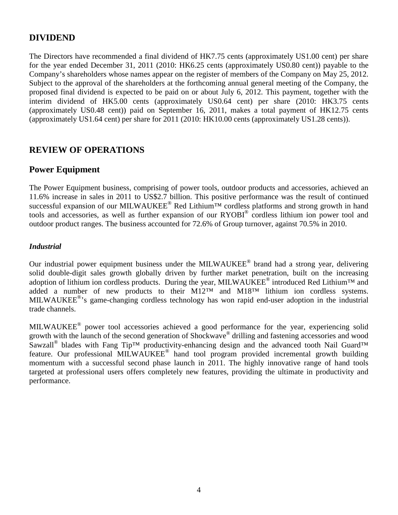# **DIVIDEND**

The Directors have recommended a final dividend of HK7.75 cents (approximately US1.00 cent) per share for the year ended December 31, 2011 (2010: HK6.25 cents (approximately US0.80 cent)) payable to the Company's shareholders whose names appear on the register of members of the Company on May 25, 2012. Subject to the approval of the shareholders at the forthcoming annual general meeting of the Company, the proposed final dividend is expected to be paid on or about July 6, 2012. This payment, together with the interim dividend of HK5.00 cents (approximately US0.64 cent) per share (2010: HK3.75 cents (approximately US0.48 cent)) paid on September 16, 2011, makes a total payment of HK12.75 cents (approximately US1.64 cent) per share for 2011 (2010: HK10.00 cents (approximately US1.28 cents)).

# **REVIEW OF OPERATIONS**

# **Power Equipment**

The Power Equipment business, comprising of power tools, outdoor products and accessories, achieved an 11.6% increase in sales in 2011 to US\$2.7 billion. This positive performance was the result of continued successful expansion of our MILWAUKEE® Red Lithium<sup>TM</sup> cordless platforms and strong growth in hand tools and accessories, as well as further expansion of our RYOBI® cordless lithium ion power tool and outdoor product ranges. The business accounted for 72.6% of Group turnover, against 70.5% in 2010.

## *Industrial*

Our industrial power equipment business under the MILWAUKEE® brand had a strong year, delivering solid double-digit sales growth globally driven by further market penetration, built on the increasing adoption of lithium ion cordless products. During the year, MILWAUKEE<sup>®</sup> introduced Red Lithium™ and added a number of new products to their M12™ and M18™ lithium ion cordless systems. MILWAUKEE<sup>®</sup>'s game-changing cordless technology has won rapid end-user adoption in the industrial trade channels.

MILWAUKEE® power tool accessories achieved a good performance for the year, experiencing solid growth with the launch of the second generation of Shockwave® drilling and fastening accessories and wood Sawzall<sup>®</sup> blades with Fang Tip™ productivity-enhancing design and the advanced tooth Nail Guard™ feature. Our professional MILWAUKEE® hand tool program provided incremental growth building momentum with a successful second phase launch in 2011. The highly innovative range of hand tools targeted at professional users offers completely new features, providing the ultimate in productivity and performance.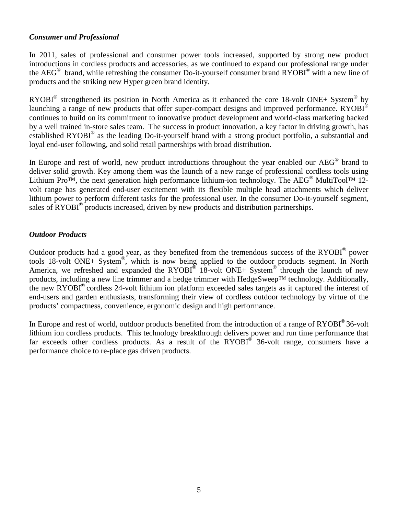### *Consumer and Professional*

In 2011, sales of professional and consumer power tools increased, supported by strong new product introductions in cordless products and accessories, as we continued to expand our professional range under the AEG<sup>®</sup> brand, while refreshing the consumer Do-it-yourself consumer brand RYOBI<sup>®</sup> with a new line of products and the striking new Hyper green brand identity.

RYOBI<sup>®</sup> strengthened its position in North America as it enhanced the core 18-volt ONE+ System<sup>®</sup> by launching a range of new products that offer super-compact designs and improved performance. RYOBI<sup>®</sup> continues to build on its commitment to innovative product development and world-class marketing backed by a well trained in-store sales team. The success in product innovation, a key factor in driving growth, has established RYOBI® as the leading Do-it-yourself brand with a strong product portfolio, a substantial and loyal end-user following, and solid retail partnerships with broad distribution.

In Europe and rest of world, new product introductions throughout the year enabled our  $AEG^{\circledast}$  brand to deliver solid growth. Key among them was the launch of a new range of professional cordless tools using Lithium Pro<sup>TM</sup>, the next generation high performance lithium-ion technology. The AEG<sup>®</sup> MultiTool<sup>TM</sup> 12volt range has generated end-user excitement with its flexible multiple head attachments which deliver lithium power to perform different tasks for the professional user. In the consumer Do-it-yourself segment, sales of RYOBI<sup>®</sup> products increased, driven by new products and distribution partnerships.

## *Outdoor Products*

Outdoor products had a good year, as they benefited from the tremendous success of the  $RYOBI^{\circledast}$  power tools 18-volt ONE+ System® , which is now being applied to the outdoor products segment. In North America, we refreshed and expanded the RYOBI $^{\circ}$  18-volt ONE+ System $^{\circ}$  through the launch of new products, including a new line trimmer and a hedge trimmer with HedgeSweep™ technology. Additionally, the new  $RYOBI<sup>®</sup>$  cordless 24-volt lithium ion platform exceeded sales targets as it captured the interest of end-users and garden enthusiasts, transforming their view of cordless outdoor technology by virtue of the products' compactness, convenience, ergonomic design and high performance.

In Europe and rest of world, outdoor products benefited from the introduction of a range of RYOBI<sup>®</sup> 36-volt lithium ion cordless products. This technology breakthrough delivers power and run time performance that far exceeds other cordless products. As a result of the RYOBI® 36-volt range, consumers have a performance choice to re-place gas driven products.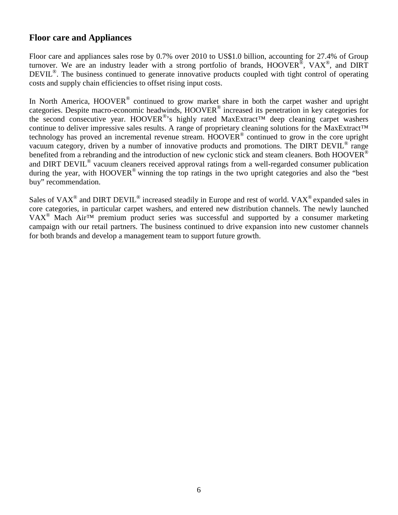# **Floor care and Appliances**

Floor care and appliances sales rose by 0.7% over 2010 to US\$1.0 billion, accounting for 27.4% of Group turnover. We are an industry leader with a strong portfolio of brands, HOOVER<sup>®</sup>, VAX<sup>®</sup>, and DIRT DEVIL<sup>®</sup>. The business continued to generate innovative products coupled with tight control of operating costs and supply chain efficiencies to offset rising input costs.

In North America, HOOVER<sup>®</sup> continued to grow market share in both the carpet washer and upright categories. Despite macro-economic headwinds, HOOVER® increased its penetration in key categories for the second consecutive year. HOOVER<sup>®</sup>'s highly rated MaxExtract<sup>™</sup> deep cleaning carpet washers continue to deliver impressive sales results. A range of proprietary cleaning solutions for the MaxExtract™ technology has proved an incremental revenue stream. HOOVER<sup>®</sup> continued to grow in the core upright vacuum category, driven by a number of innovative products and promotions. The DIRT DEVIL<sup>®</sup> range benefited from a rebranding and the introduction of new cyclonic stick and steam cleaners. Both HOOVER<sup>®</sup> and DIRT DEVIL<sup>®</sup> vacuum cleaners received approval ratings from a well-regarded consumer publication during the year, with HOOVER<sup>®</sup> winning the top ratings in the two upright categories and also the "best" buy" recommendation.

Sales of VAX<sup>®</sup> and DIRT DEVIL<sup>®</sup> increased steadily in Europe and rest of world. VAX<sup>®</sup> expanded sales in core categories, in particular carpet washers, and entered new distribution channels. The newly launched  $VAX^{\circledast}$  Mach Air<sup>TM</sup> premium product series was successful and supported by a consumer marketing campaign with our retail partners. The business continued to drive expansion into new customer channels for both brands and develop a management team to support future growth.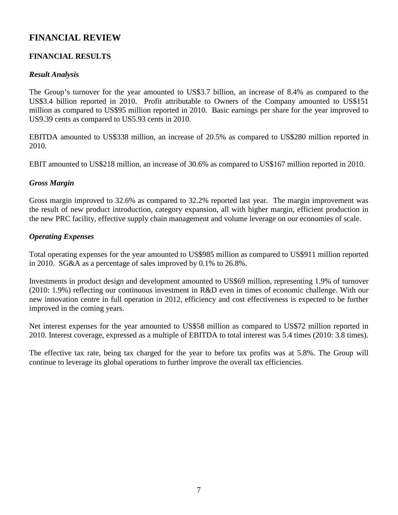# **FINANCIAL REVIEW**

## **FINANCIAL RESULTS**

### *Result Analysis*

The Group's turnover for the year amounted to US\$3.7 billion, an increase of 8.4% as compared to the US\$3.4 billion reported in 2010. Profit attributable to Owners of the Company amounted to US\$151 million as compared to US\$95 million reported in 2010. Basic earnings per share for the year improved to US9.39 cents as compared to US5.93 cents in 2010.

EBITDA amounted to US\$338 million, an increase of 20.5% as compared to US\$280 million reported in 2010.

EBIT amounted to US\$218 million, an increase of 30.6% as compared to US\$167 million reported in 2010.

### *Gross Margin*

Gross margin improved to 32.6% as compared to 32.2% reported last year. The margin improvement was the result of new product introduction, category expansion, all with higher margin, efficient production in the new PRC facility, effective supply chain management and volume leverage on our economies of scale.

## *Operating Expenses*

Total operating expenses for the year amounted to US\$985 million as compared to US\$911 million reported in 2010. SG&A as a percentage of sales improved by 0.1% to 26.8%.

Investments in product design and development amounted to US\$69 million, representing 1.9% of turnover (2010: 1.9%) reflecting our continuous investment in R&D even in times of economic challenge. With our new innovation centre in full operation in 2012, efficiency and cost effectiveness is expected to be further improved in the coming years.

Net interest expenses for the year amounted to US\$58 million as compared to US\$72 million reported in 2010. Interest coverage, expressed as a multiple of EBITDA to total interest was 5.4 times (2010: 3.8 times).

The effective tax rate, being tax charged for the year to before tax profits was at 5.8%. The Group will continue to leverage its global operations to further improve the overall tax efficiencies.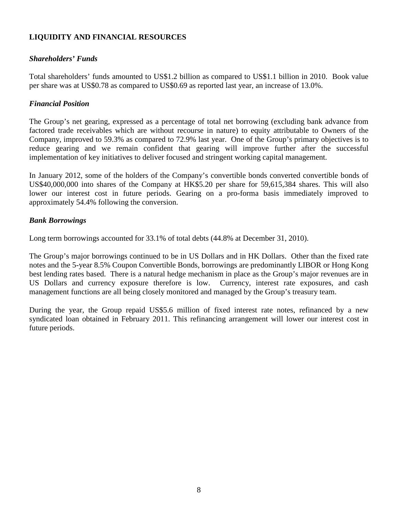## **LIQUIDITY AND FINANCIAL RESOURCES**

## *Shareholders' Funds*

Total shareholders' funds amounted to US\$1.2 billion as compared to US\$1.1 billion in 2010. Book value per share was at US\$0.78 as compared to US\$0.69 as reported last year, an increase of 13.0%.

## *Financial Position*

The Group's net gearing, expressed as a percentage of total net borrowing (excluding bank advance from factored trade receivables which are without recourse in nature) to equity attributable to Owners of the Company, improved to 59.3% as compared to 72.9% last year. One of the Group's primary objectives is to reduce gearing and we remain confident that gearing will improve further after the successful implementation of key initiatives to deliver focused and stringent working capital management.

In January 2012, some of the holders of the Company's convertible bonds converted convertible bonds of US\$40,000,000 into shares of the Company at HK\$5.20 per share for 59,615,384 shares. This will also lower our interest cost in future periods. Gearing on a pro-forma basis immediately improved to approximately 54.4% following the conversion.

## *Bank Borrowings*

Long term borrowings accounted for 33.1% of total debts (44.8% at December 31, 2010).

The Group's major borrowings continued to be in US Dollars and in HK Dollars. Other than the fixed rate notes and the 5-year 8.5% Coupon Convertible Bonds, borrowings are predominantly LIBOR or Hong Kong best lending rates based. There is a natural hedge mechanism in place as the Group's major revenues are in US Dollars and currency exposure therefore is low. Currency, interest rate exposures, and cash management functions are all being closely monitored and managed by the Group's treasury team.

During the year, the Group repaid US\$5.6 million of fixed interest rate notes, refinanced by a new syndicated loan obtained in February 2011. This refinancing arrangement will lower our interest cost in future periods.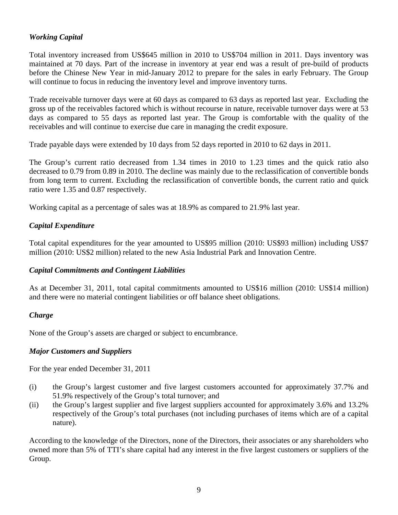# *Working Capital*

Total inventory increased from US\$645 million in 2010 to US\$704 million in 2011. Days inventory was maintained at 70 days. Part of the increase in inventory at year end was a result of pre-build of products before the Chinese New Year in mid-January 2012 to prepare for the sales in early February. The Group will continue to focus in reducing the inventory level and improve inventory turns.

Trade receivable turnover days were at 60 days as compared to 63 days as reported last year. Excluding the gross up of the receivables factored which is without recourse in nature, receivable turnover days were at 53 days as compared to 55 days as reported last year. The Group is comfortable with the quality of the receivables and will continue to exercise due care in managing the credit exposure.

Trade payable days were extended by 10 days from 52 days reported in 2010 to 62 days in 2011.

The Group's current ratio decreased from 1.34 times in 2010 to 1.23 times and the quick ratio also decreased to 0.79 from 0.89 in 2010. The decline was mainly due to the reclassification of convertible bonds from long term to current. Excluding the reclassification of convertible bonds, the current ratio and quick ratio were 1.35 and 0.87 respectively.

Working capital as a percentage of sales was at 18.9% as compared to 21.9% last year.

## *Capital Expenditure*

Total capital expenditures for the year amounted to US\$95 million (2010: US\$93 million) including US\$7 million (2010: US\$2 million) related to the new Asia Industrial Park and Innovation Centre.

## *Capital Commitments and Contingent Liabilities*

As at December 31, 2011, total capital commitments amounted to US\$16 million (2010: US\$14 million) and there were no material contingent liabilities or off balance sheet obligations.

## *Charge*

None of the Group's assets are charged or subject to encumbrance.

## *Major Customers and Suppliers*

For the year ended December 31, 2011

- (i) the Group's largest customer and five largest customers accounted for approximately 37.7% and 51.9% respectively of the Group's total turnover; and
- (ii) the Group's largest supplier and five largest suppliers accounted for approximately 3.6% and 13.2% respectively of the Group's total purchases (not including purchases of items which are of a capital nature).

According to the knowledge of the Directors, none of the Directors, their associates or any shareholders who owned more than 5% of TTI's share capital had any interest in the five largest customers or suppliers of the Group.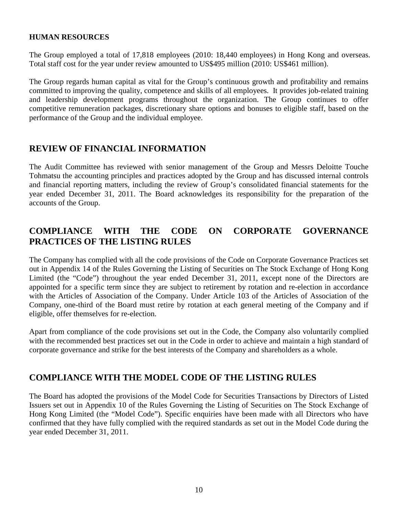### **HUMAN RESOURCES**

The Group employed a total of 17,818 employees (2010: 18,440 employees) in Hong Kong and overseas. Total staff cost for the year under review amounted to US\$495 million (2010: US\$461 million).

The Group regards human capital as vital for the Group's continuous growth and profitability and remains committed to improving the quality, competence and skills of all employees. It provides job-related training and leadership development programs throughout the organization. The Group continues to offer competitive remuneration packages, discretionary share options and bonuses to eligible staff, based on the performance of the Group and the individual employee.

# **REVIEW OF FINANCIAL INFORMATION**

The Audit Committee has reviewed with senior management of the Group and Messrs Deloitte Touche Tohmatsu the accounting principles and practices adopted by the Group and has discussed internal controls and financial reporting matters, including the review of Group's consolidated financial statements for the year ended December 31, 2011. The Board acknowledges its responsibility for the preparation of the accounts of the Group.

# **COMPLIANCE WITH THE CODE ON CORPORATE GOVERNANCE PRACTICES OF THE LISTING RULES**

The Company has complied with all the code provisions of the Code on Corporate Governance Practices set out in Appendix 14 of the Rules Governing the Listing of Securities on The Stock Exchange of Hong Kong Limited (the "Code") throughout the year ended December 31, 2011, except none of the Directors are appointed for a specific term since they are subject to retirement by rotation and re-election in accordance with the Articles of Association of the Company. Under Article 103 of the Articles of Association of the Company, one-third of the Board must retire by rotation at each general meeting of the Company and if eligible, offer themselves for re-election.

Apart from compliance of the code provisions set out in the Code, the Company also voluntarily complied with the recommended best practices set out in the Code in order to achieve and maintain a high standard of corporate governance and strike for the best interests of the Company and shareholders as a whole.

# **COMPLIANCE WITH THE MODEL CODE OF THE LISTING RULES**

The Board has adopted the provisions of the Model Code for Securities Transactions by Directors of Listed Issuers set out in Appendix 10 of the Rules Governing the Listing of Securities on The Stock Exchange of Hong Kong Limited (the "Model Code"). Specific enquiries have been made with all Directors who have confirmed that they have fully complied with the required standards as set out in the Model Code during the year ended December 31, 2011.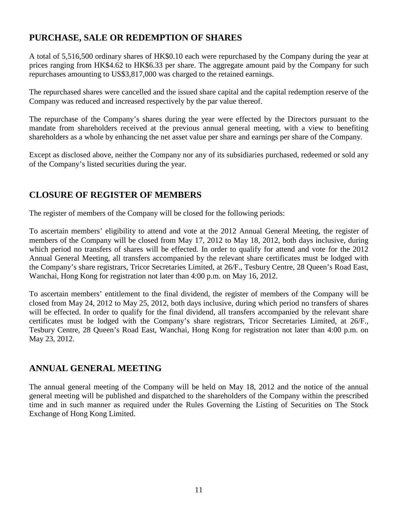# **PURCHASE, SALE OR REDEMPTION OF SHARES**

A total of 5,516,500 ordinary shares of HK\$0.10 each were repurchased by the Company during the year at prices ranging from HK\$4.62 to HK\$6.33 per share. The aggregate amount paid by the Company for such repurchases amounting to US\$3,817,000 was charged to the retained earnings.

The repurchased shares were cancelled and the issued share capital and the capital redemption reserve of the Company was reduced and increased respectively by the par value thereof.

The repurchase of the Company's shares during the year were effected by the Directors pursuant to the mandate from shareholders received at the previous annual general meeting, with a view to benefiting shareholders as a whole by enhancing the net asset value per share and earnings per share of the Company.

Except as disclosed above, neither the Company nor any of its subsidiaries purchased, redeemed or sold any of the Company's listed securities during the year.

# **CLOSURE OF REGISTER OF MEMBERS**

The register of members of the Company will be closed for the following periods:

To ascertain members' eligibility to attend and vote at the 2012 Annual General Meeting, the register of members of the Company will be closed from May 17, 2012 to May 18, 2012, both days inclusive, during which period no transfers of shares will be effected. In order to qualify for attend and vote for the 2012 Annual General Meeting, all transfers accompanied by the relevant share certificates must be lodged with the Company's share registrars, Tricor Secretaries Limited, at 26/F., Tesbury Centre, 28 Queen's Road East, Wanchai, Hong Kong for registration not later than 4:00 p.m. on May 16, 2012.

To ascertain members' entitlement to the final dividend, the register of members of the Company will be closed from May 24, 2012 to May 25, 2012, both days inclusive, during which period no transfers of shares will be effected. In order to qualify for the final dividend, all transfers accompanied by the relevant share certificates must be lodged with the Company's share registrars, Tricor Secretaries Limited, at 26/F., Tesbury Centre, 28 Queen's Road East, Wanchai, Hong Kong for registration not later than 4:00 p.m. on May 23, 2012.

# **ANNUAL GENERAL MEETING**

The annual general meeting of the Company will be held on May 18, 2012 and the notice of the annual general meeting will be published and dispatched to the shareholders of the Company within the prescribed time and in such manner as required under the Rules Governing the Listing of Securities on The Stock Exchange of Hong Kong Limited.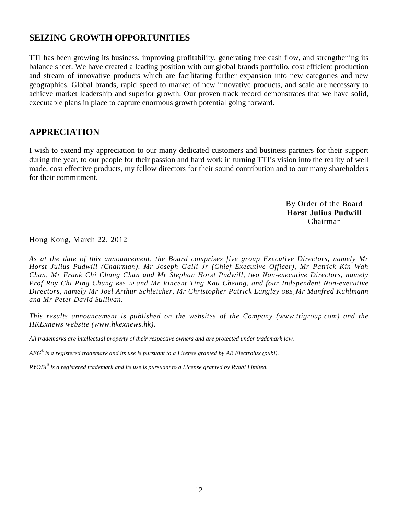# **SEIZING GROWTH OPPORTUNITIES**

TTI has been growing its business, improving profitability, generating free cash flow, and strengthening its balance sheet. We have created a leading position with our global brands portfolio, cost efficient production and stream of innovative products which are facilitating further expansion into new categories and new geographies. Global brands, rapid speed to market of new innovative products, and scale are necessary to achieve market leadership and superior growth. Our proven track record demonstrates that we have solid, executable plans in place to capture enormous growth potential going forward.

# **APPRECIATION**

I wish to extend my appreciation to our many dedicated customers and business partners for their support during the year, to our people for their passion and hard work in turning TTI's vision into the reality of well made, cost effective products, my fellow directors for their sound contribution and to our many shareholders for their commitment.

> By Order of the Board **Horst Julius Pudwill**  Chairman

Hong Kong, March 22, 2012

*As at the date of this announcement, the Board comprises five group Executive Directors, namely Mr Horst Julius Pudwill (Chairman), Mr Joseph Galli Jr (Chief Executive Officer), Mr Patrick Kin Wah Chan, Mr Frank Chi Chung Chan and Mr Stephan Horst Pudwill, two Non-executive Directors, namely Prof Roy Chi Ping Chung BBS JP and Mr Vincent Ting Kau Cheung, and four Independent Non-executive Directors, namely Mr Joel Arthur Schleicher, Mr Christopher Patrick Langley OBE, Mr Manfred Kuhlmann and Mr Peter David Sullivan.* 

*This results announcement is published on the websites of the Company (www.ttigroup.com) and the HKExnews website (www.hkexnews.hk).* 

*All trademarks are intellectual property of their respective owners and are protected under trademark law.* 

*AEG® is a registered trademark and its use is pursuant to a License granted by AB Electrolux (publ).* 

*RYOBI® is a registered trademark and its use is pursuant to a License granted by Ryobi Limited.*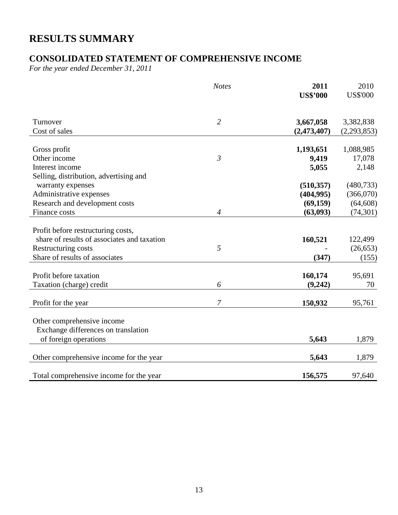# **RESULTS SUMMARY**

# **CONSOLIDATED STATEMENT OF COMPREHENSIVE INCOME**

*For the year ended December 31, 2011* 

|                                             | <b>Notes</b>   | 2011<br><b>US\$'000</b> | 2010<br><b>US\$'000</b> |
|---------------------------------------------|----------------|-------------------------|-------------------------|
| Turnover                                    | $\overline{2}$ | 3,667,058               | 3,382,838               |
| Cost of sales                               |                | (2,473,407)             | (2,293,853)             |
| Gross profit                                |                | 1,193,651               | 1,088,985               |
| Other income                                | $\mathfrak{Z}$ | 9,419                   | 17,078                  |
| Interest income                             |                | 5,055                   | 2,148                   |
| Selling, distribution, advertising and      |                |                         |                         |
| warranty expenses                           |                | (510, 357)              | (480, 733)              |
| Administrative expenses                     |                | (404, 995)              | (366,070)               |
| Research and development costs              |                | (69, 159)               | (64, 608)               |
| Finance costs                               | $\overline{4}$ | (63,093)                | (74, 301)               |
|                                             |                |                         |                         |
| Profit before restructuring costs,          |                |                         |                         |
| share of results of associates and taxation |                | 160,521                 | 122,499                 |
| Restructuring costs                         | 5              |                         | (26, 653)               |
| Share of results of associates              |                | (347)                   | (155)                   |
|                                             |                |                         |                         |
| Profit before taxation                      |                | 160,174                 | 95,691                  |
| Taxation (charge) credit                    | 6              | (9,242)                 | 70                      |
|                                             |                |                         |                         |
| Profit for the year                         | 7              | 150,932                 | 95,761                  |
|                                             |                |                         |                         |
| Other comprehensive income                  |                |                         |                         |
| Exchange differences on translation         |                |                         |                         |
| of foreign operations                       |                | 5,643                   | 1,879                   |
|                                             |                |                         |                         |
| Other comprehensive income for the year     |                | 5,643                   | 1,879                   |
|                                             |                |                         |                         |
| Total comprehensive income for the year     |                | 156,575                 | 97,640                  |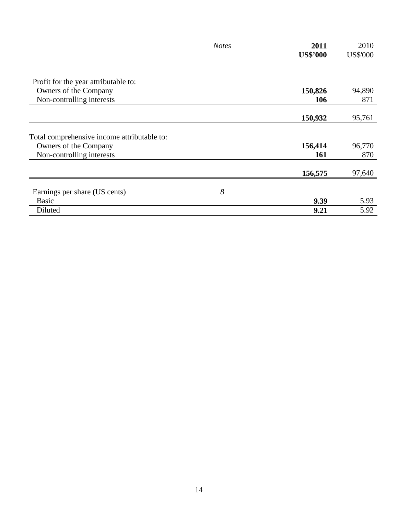|                                             | <b>Notes</b> | 2011            | 2010            |
|---------------------------------------------|--------------|-----------------|-----------------|
|                                             |              | <b>US\$'000</b> | <b>US\$'000</b> |
|                                             |              |                 |                 |
| Profit for the year attributable to:        |              |                 |                 |
| Owners of the Company                       |              | 150,826         | 94,890          |
| Non-controlling interests                   |              | 106             | 871             |
|                                             |              |                 |                 |
|                                             |              | 150,932         | 95,761          |
|                                             |              |                 |                 |
| Total comprehensive income attributable to: |              |                 |                 |
| Owners of the Company                       |              | 156,414         | 96,770          |
| Non-controlling interests                   |              | 161             | 870             |
|                                             |              | 156,575         | 97,640          |
|                                             |              |                 |                 |
| Earnings per share (US cents)               | 8            |                 |                 |
| <b>Basic</b>                                |              | 9.39            | 5.93            |
| Diluted                                     |              | 9.21            | 5.92            |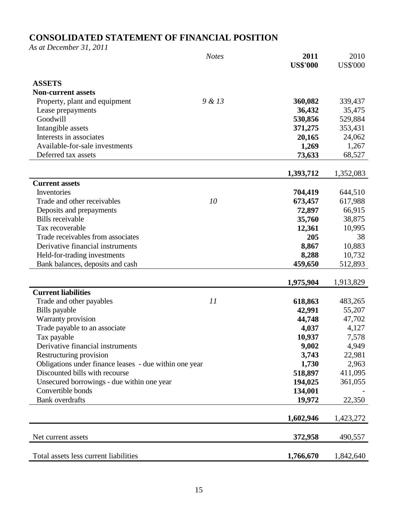# **CONSOLIDATED STATEMENT OF FINANCIAL POSITION**

*As at December 31, 2011* 

|                                                        | <b>Notes</b> | 2011            | 2010            |
|--------------------------------------------------------|--------------|-----------------|-----------------|
|                                                        |              | <b>US\$'000</b> | <b>US\$'000</b> |
|                                                        |              |                 |                 |
| <b>ASSETS</b>                                          |              |                 |                 |
| <b>Non-current assets</b>                              | 9 & 13       | 360,082         | 339,437         |
| Property, plant and equipment<br>Lease prepayments     |              | 36,432          | 35,475          |
| Goodwill                                               |              | 530,856         | 529,884         |
| Intangible assets                                      |              | 371,275         | 353,431         |
| Interests in associates                                |              | 20,165          | 24,062          |
| Available-for-sale investments                         |              | 1,269           | 1,267           |
| Deferred tax assets                                    |              | 73,633          | 68,527          |
|                                                        |              |                 |                 |
|                                                        |              | 1,393,712       | 1,352,083       |
| <b>Current assets</b>                                  |              |                 |                 |
| Inventories                                            |              | 704,419         | 644,510         |
| Trade and other receivables                            | 10           | 673,457         | 617,988         |
| Deposits and prepayments                               |              | 72,897          | 66,915          |
| <b>Bills</b> receivable                                |              | 35,760          | 38,875          |
| Tax recoverable                                        |              | 12,361          | 10,995          |
| Trade receivables from associates                      |              | 205             | 38              |
| Derivative financial instruments                       |              | 8,867           | 10,883          |
| Held-for-trading investments                           |              | 8,288           | 10,732          |
| Bank balances, deposits and cash                       |              | 459,650         | 512,893         |
|                                                        |              |                 |                 |
|                                                        |              | 1,975,904       | 1,913,829       |
| <b>Current liabilities</b>                             |              |                 |                 |
| Trade and other payables                               | 11           | 618,863         | 483,265         |
| Bills payable                                          |              | 42,991          | 55,207          |
| Warranty provision                                     |              | 44,748          | 47,702          |
| Trade payable to an associate                          |              | 4,037           | 4,127           |
| Tax payable                                            |              | 10,937          | 7,578           |
| Derivative financial instruments                       |              | 9,002           | 4,949           |
| Restructuring provision                                |              | 3,743           | 22,981          |
| Obligations under finance leases - due within one year |              | 1,730           | 2,963           |
| Discounted bills with recourse                         |              | 518,897         | 411,095         |
| Unsecured borrowings - due within one year             |              | 194,025         | 361,055         |
| Convertible bonds                                      |              | 134,001         |                 |
| <b>Bank</b> overdrafts                                 |              | 19,972          | 22,350          |
|                                                        |              | 1,602,946       | 1,423,272       |
|                                                        |              |                 |                 |
| Net current assets                                     |              | 372,958         | 490,557         |
| Total assets less current liabilities                  |              | 1,766,670       | 1,842,640       |
|                                                        |              |                 |                 |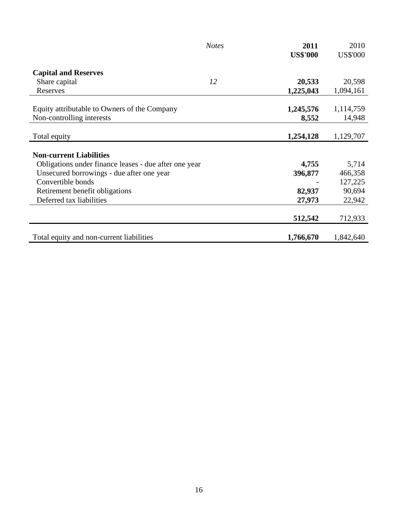|                                                       | <b>Notes</b> | 2011            | 2010            |
|-------------------------------------------------------|--------------|-----------------|-----------------|
|                                                       |              | <b>US\$'000</b> | <b>US\$'000</b> |
|                                                       |              |                 |                 |
| <b>Capital and Reserves</b>                           |              |                 |                 |
| Share capital                                         | 12           | 20,533          | 20,598          |
| Reserves                                              |              | 1,225,043       | 1,094,161       |
|                                                       |              |                 |                 |
| Equity attributable to Owners of the Company          |              | 1,245,576       | 1,114,759       |
| Non-controlling interests                             |              | 8,552           | 14,948          |
|                                                       |              |                 |                 |
| Total equity                                          |              | 1,254,128       | 1,129,707       |
|                                                       |              |                 |                 |
| <b>Non-current Liabilities</b>                        |              |                 |                 |
| Obligations under finance leases - due after one year |              | 4,755           | 5,714           |
| Unsecured borrowings - due after one year             |              | 396,877         | 466,358         |
| Convertible bonds                                     |              |                 | 127,225         |
| Retirement benefit obligations                        |              | 82,937          | 90,694          |
| Deferred tax liabilities                              |              | 27,973          | 22,942          |
|                                                       |              |                 |                 |
|                                                       |              | 512,542         | 712,933         |
|                                                       |              |                 |                 |
| Total equity and non-current liabilities              |              | 1,766,670       | 1,842,640       |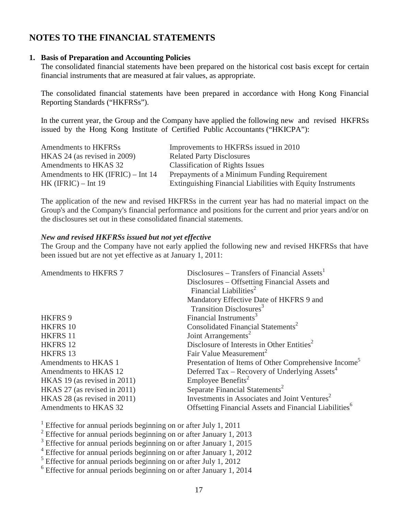# **NOTES TO THE FINANCIAL STATEMENTS**

### **1. Basis of Preparation and Accounting Policies**

The consolidated financial statements have been prepared on the historical cost basis except for certain financial instruments that are measured at fair values, as appropriate.

The consolidated financial statements have been prepared in accordance with Hong Kong Financial Reporting Standards ("HKFRSs").

In the current year, the Group and the Company have applied the following new and revised HKFRSs issued by the Hong Kong Institute of Certified Public Accountants ("HKICPA"):

| Amendments to HKFRSs                | Improvements to HKFRSs issued in 2010                       |
|-------------------------------------|-------------------------------------------------------------|
| HKAS 24 (as revised in 2009)        | <b>Related Party Disclosures</b>                            |
| Amendments to HKAS 32               | <b>Classification of Rights Issues</b>                      |
| Amendments to HK (IFRIC) $-$ Int 14 | Prepayments of a Minimum Funding Requirement                |
| $HK$ (IFRIC) – Int 19               | Extinguishing Financial Liabilities with Equity Instruments |

The application of the new and revised HKFRSs in the current year has had no material impact on the Group's and the Company's financial performance and positions for the current and prior years and/or on the disclosures set out in these consolidated financial statements.

### *New and revised HKFRSs issued but not yet effective*

The Group and the Company have not early applied the following new and revised HKFRSs that have been issued but are not yet effective as at January 1, 2011:

| Amendments to HKFRS 7        | Disclosures – Transfers of Financial Assets <sup>1</sup>           |
|------------------------------|--------------------------------------------------------------------|
|                              | Disclosures – Offsetting Financial Assets and                      |
|                              | Financial Liabilities <sup>2</sup>                                 |
|                              | Mandatory Effective Date of HKFRS 9 and                            |
|                              | Transition Disclosures <sup>3</sup>                                |
| <b>HKFRS 9</b>               | Financial Instruments <sup>3</sup>                                 |
| <b>HKFRS 10</b>              | Consolidated Financial Statements <sup>2</sup>                     |
| HKFRS 11                     | Joint Arrangements <sup>2</sup>                                    |
| <b>HKFRS 12</b>              | Disclosure of Interests in Other Entities <sup>2</sup>             |
| <b>HKFRS 13</b>              | Fair Value Measurement <sup>2</sup>                                |
| Amendments to HKAS 1         | Presentation of Items of Other Comprehensive Income <sup>5</sup>   |
| Amendments to HKAS 12        | Deferred Tax – Recovery of Underlying Assets <sup>4</sup>          |
| HKAS 19 (as revised in 2011) | Employee Benefits <sup>2</sup>                                     |
| HKAS 27 (as revised in 2011) | Separate Financial Statements <sup>2</sup>                         |
| HKAS 28 (as revised in 2011) | Investments in Associates and Joint Ventures <sup>2</sup>          |
| Amendments to HKAS 32        | Offsetting Financial Assets and Financial Liabilities <sup>o</sup> |

<sup>1</sup> Effective for annual periods beginning on or after July 1, 2011

<sup>2</sup> Effective for annual periods beginning on or after January 1, 2013

<sup>3</sup> Effective for annual periods beginning on or after January 1, 2015

- 4 Effective for annual periods beginning on or after January 1, 2012
- <sup>5</sup> Effective for annual periods beginning on or after July 1, 2012

6 Effective for annual periods beginning on or after January 1, 2014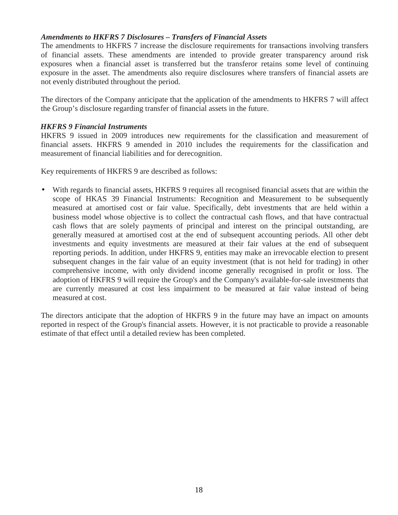## *Amendments to HKFRS 7 Disclosures – Transfers of Financial Assets*

The amendments to HKFRS 7 increase the disclosure requirements for transactions involving transfers of financial assets. These amendments are intended to provide greater transparency around risk exposures when a financial asset is transferred but the transferor retains some level of continuing exposure in the asset. The amendments also require disclosures where transfers of financial assets are not evenly distributed throughout the period.

The directors of the Company anticipate that the application of the amendments to HKFRS 7 will affect the Group's disclosure regarding transfer of financial assets in the future.

## *HKFRS 9 Financial Instruments*

HKFRS 9 issued in 2009 introduces new requirements for the classification and measurement of financial assets. HKFRS 9 amended in 2010 includes the requirements for the classification and measurement of financial liabilities and for derecognition.

Key requirements of HKFRS 9 are described as follows:

• With regards to financial assets, HKFRS 9 requires all recognised financial assets that are within the scope of HKAS 39 Financial Instruments: Recognition and Measurement to be subsequently measured at amortised cost or fair value. Specifically, debt investments that are held within a business model whose objective is to collect the contractual cash flows, and that have contractual cash flows that are solely payments of principal and interest on the principal outstanding, are generally measured at amortised cost at the end of subsequent accounting periods. All other debt investments and equity investments are measured at their fair values at the end of subsequent reporting periods. In addition, under HKFRS 9, entities may make an irrevocable election to present subsequent changes in the fair value of an equity investment (that is not held for trading) in other comprehensive income, with only dividend income generally recognised in profit or loss. The adoption of HKFRS 9 will require the Group's and the Company's available-for-sale investments that are currently measured at cost less impairment to be measured at fair value instead of being measured at cost.

The directors anticipate that the adoption of HKFRS 9 in the future may have an impact on amounts reported in respect of the Group's financial assets. However, it is not practicable to provide a reasonable estimate of that effect until a detailed review has been completed.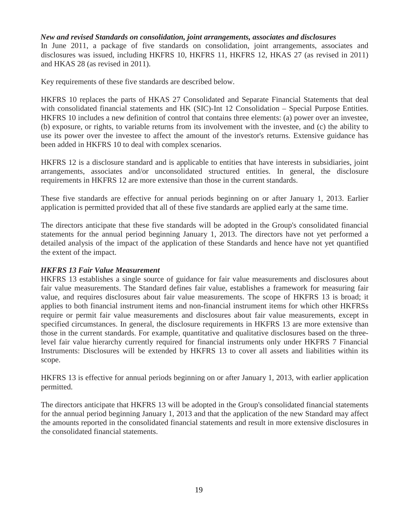### *New and revised Standards on consolidation, joint arrangements, associates and disclosures*

In June 2011, a package of five standards on consolidation, joint arrangements, associates and disclosures was issued, including HKFRS 10, HKFRS 11, HKFRS 12, HKAS 27 (as revised in 2011) and HKAS 28 (as revised in 2011).

Key requirements of these five standards are described below.

HKFRS 10 replaces the parts of HKAS 27 Consolidated and Separate Financial Statements that deal with consolidated financial statements and HK (SIC)-Int 12 Consolidation – Special Purpose Entities. HKFRS 10 includes a new definition of control that contains three elements: (a) power over an investee, (b) exposure, or rights, to variable returns from its involvement with the investee, and (c) the ability to use its power over the investee to affect the amount of the investor's returns. Extensive guidance has been added in HKFRS 10 to deal with complex scenarios.

HKFRS 12 is a disclosure standard and is applicable to entities that have interests in subsidiaries, joint arrangements, associates and/or unconsolidated structured entities. In general, the disclosure requirements in HKFRS 12 are more extensive than those in the current standards.

These five standards are effective for annual periods beginning on or after January 1, 2013. Earlier application is permitted provided that all of these five standards are applied early at the same time.

The directors anticipate that these five standards will be adopted in the Group's consolidated financial statements for the annual period beginning January 1, 2013. The directors have not yet performed a detailed analysis of the impact of the application of these Standards and hence have not yet quantified the extent of the impact.

### *HKFRS 13 Fair Value Measurement*

HKFRS 13 establishes a single source of guidance for fair value measurements and disclosures about fair value measurements. The Standard defines fair value, establishes a framework for measuring fair value, and requires disclosures about fair value measurements. The scope of HKFRS 13 is broad; it applies to both financial instrument items and non-financial instrument items for which other HKFRSs require or permit fair value measurements and disclosures about fair value measurements, except in specified circumstances. In general, the disclosure requirements in HKFRS 13 are more extensive than those in the current standards. For example, quantitative and qualitative disclosures based on the threelevel fair value hierarchy currently required for financial instruments only under HKFRS 7 Financial Instruments: Disclosures will be extended by HKFRS 13 to cover all assets and liabilities within its scope.

HKFRS 13 is effective for annual periods beginning on or after January 1, 2013, with earlier application permitted.

The directors anticipate that HKFRS 13 will be adopted in the Group's consolidated financial statements for the annual period beginning January 1, 2013 and that the application of the new Standard may affect the amounts reported in the consolidated financial statements and result in more extensive disclosures in the consolidated financial statements.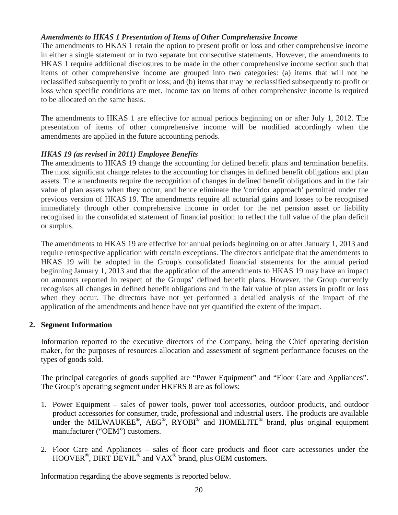## *Amendments to HKAS 1 Presentation of Items of Other Comprehensive Income*

The amendments to HKAS 1 retain the option to present profit or loss and other comprehensive income in either a single statement or in two separate but consecutive statements. However, the amendments to HKAS 1 require additional disclosures to be made in the other comprehensive income section such that items of other comprehensive income are grouped into two categories: (a) items that will not be reclassified subsequently to profit or loss; and (b) items that may be reclassified subsequently to profit or loss when specific conditions are met. Income tax on items of other comprehensive income is required to be allocated on the same basis.

The amendments to HKAS 1 are effective for annual periods beginning on or after July 1, 2012. The presentation of items of other comprehensive income will be modified accordingly when the amendments are applied in the future accounting periods.

## *HKAS 19 (as revised in 2011) Employee Benefits*

The amendments to HKAS 19 change the accounting for defined benefit plans and termination benefits. The most significant change relates to the accounting for changes in defined benefit obligations and plan assets. The amendments require the recognition of changes in defined benefit obligations and in the fair value of plan assets when they occur, and hence eliminate the 'corridor approach' permitted under the previous version of HKAS 19. The amendments require all actuarial gains and losses to be recognised immediately through other comprehensive income in order for the net pension asset or liability recognised in the consolidated statement of financial position to reflect the full value of the plan deficit or surplus.

The amendments to HKAS 19 are effective for annual periods beginning on or after January 1, 2013 and require retrospective application with certain exceptions. The directors anticipate that the amendments to HKAS 19 will be adopted in the Group's consolidated financial statements for the annual period beginning January 1, 2013 and that the application of the amendments to HKAS 19 may have an impact on amounts reported in respect of the Groups' defined benefit plans. However, the Group currently recognises all changes in defined benefit obligations and in the fair value of plan assets in profit or loss when they occur. The directors have not yet performed a detailed analysis of the impact of the application of the amendments and hence have not yet quantified the extent of the impact.

### **2. Segment Information**

Information reported to the executive directors of the Company, being the Chief operating decision maker, for the purposes of resources allocation and assessment of segment performance focuses on the types of goods sold.

The principal categories of goods supplied are "Power Equipment" and "Floor Care and Appliances". The Group's operating segment under HKFRS 8 are as follows:

- 1. Power Equipment sales of power tools, power tool accessories, outdoor products, and outdoor product accessories for consumer, trade, professional and industrial users. The products are available under the MILWAUKEE®, AEG®, RYOBI® and HOMELITE® brand, plus original equipment manufacturer ("OEM") customers.
- 2. Floor Care and Appliances sales of floor care products and floor care accessories under the HOOVER<sup>®</sup>, DIRT DEVIL<sup>®</sup> and VAX<sup>®</sup> brand, plus OEM customers.

Information regarding the above segments is reported below.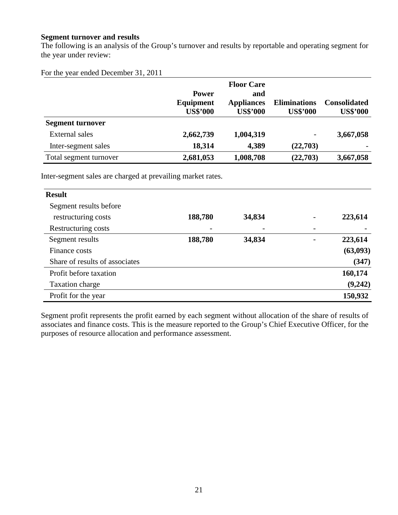### **Segment turnover and results**

The following is an analysis of the Group's turnover and results by reportable and operating segment for the year under review:

For the year ended December 31, 2011

|                         | <b>Power</b><br>Equipment<br><b>US\$'000</b> | <b>Floor Care</b><br>and<br><b>Appliances</b><br><b>US\$'000</b> | <b>Eliminations</b><br><b>US\$'000</b> | <b>Consolidated</b><br><b>US\$'000</b> |
|-------------------------|----------------------------------------------|------------------------------------------------------------------|----------------------------------------|----------------------------------------|
| <b>Segment turnover</b> |                                              |                                                                  |                                        |                                        |
| External sales          | 2,662,739                                    | 1,004,319                                                        | -                                      | 3,667,058                              |
| Inter-segment sales     | 18,314                                       | 4,389                                                            | (22,703)                               |                                        |
| Total segment turnover  | 2,681,053                                    | 1,008,708                                                        | (22,703)                               | 3,667,058                              |

Inter-segment sales are charged at prevailing market rates.

| <b>Result</b>                  |         |        |          |
|--------------------------------|---------|--------|----------|
| Segment results before         |         |        |          |
| restructuring costs            | 188,780 | 34,834 | 223,614  |
| Restructuring costs            |         |        |          |
| Segment results                | 188,780 | 34,834 | 223,614  |
| Finance costs                  |         |        | (63,093) |
| Share of results of associates |         |        | (347)    |
| Profit before taxation         |         |        | 160,174  |
| Taxation charge                |         |        | (9,242)  |
| Profit for the year            |         |        | 150,932  |

Segment profit represents the profit earned by each segment without allocation of the share of results of associates and finance costs. This is the measure reported to the Group's Chief Executive Officer, for the purposes of resource allocation and performance assessment.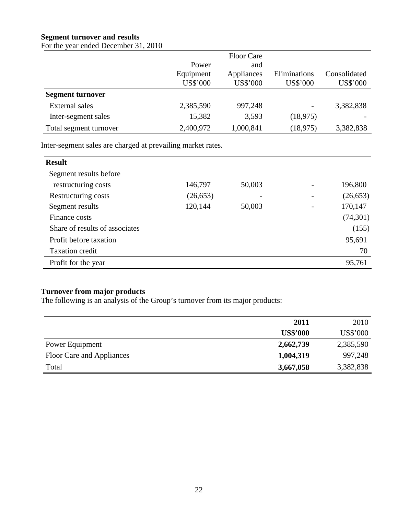# **Segment turnover and results**

For the year ended December 31, 2010

|                         |           | <b>Floor Care</b> |                          |              |
|-------------------------|-----------|-------------------|--------------------------|--------------|
|                         | Power     | and               |                          |              |
|                         | Equipment | Appliances        | Eliminations             | Consolidated |
|                         | US\$'000  | US\$'000          | US\$'000                 | US\$'000     |
| <b>Segment turnover</b> |           |                   |                          |              |
| External sales          | 2,385,590 | 997,248           | $\overline{\phantom{a}}$ | 3,382,838    |
| Inter-segment sales     | 15,382    | 3,593             | (18, 975)                |              |
| Total segment turnover  | 2,400,972 | 1,000,841         | (18, 975)                | 3,382,838    |

Inter-segment sales are charged at prevailing market rates.

| <b>Result</b>                  |           |        |                          |           |
|--------------------------------|-----------|--------|--------------------------|-----------|
| Segment results before         |           |        |                          |           |
| restructuring costs            | 146,797   | 50,003 |                          | 196,800   |
| Restructuring costs            | (26, 653) |        |                          | (26, 653) |
| Segment results                | 120,144   | 50,003 | $\overline{\phantom{a}}$ | 170,147   |
| Finance costs                  |           |        |                          | (74, 301) |
| Share of results of associates |           |        |                          | (155)     |
| Profit before taxation         |           |        |                          | 95,691    |
| <b>Taxation</b> credit         |           |        |                          | 70        |
| Profit for the year            |           |        |                          | 95,761    |

# **Turnover from major products**

The following is an analysis of the Group's turnover from its major products:

|                           | 2011            | 2010      |
|---------------------------|-----------------|-----------|
|                           | <b>US\$'000</b> | US\$'000  |
| Power Equipment           | 2,662,739       | 2,385,590 |
| Floor Care and Appliances | 1,004,319       | 997,248   |
| Total                     | 3,667,058       | 3,382,838 |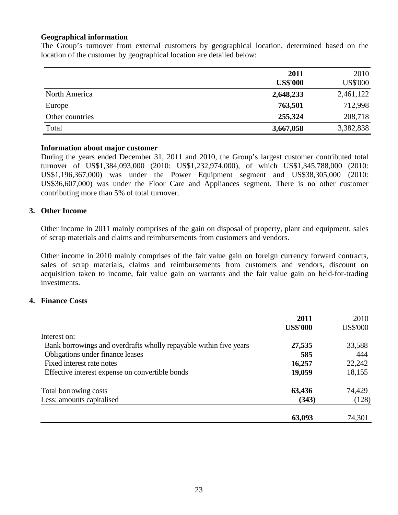### **Geographical information**

The Group's turnover from external customers by geographical location, determined based on the location of the customer by geographical location are detailed below:

|                 | 2011<br><b>US\$'000</b> | 2010<br><b>US\$'000</b> |
|-----------------|-------------------------|-------------------------|
| North America   | 2,648,233               | 2,461,122               |
| Europe          | 763,501                 | 712,998                 |
| Other countries | 255,324                 | 208,718                 |
| Total           | 3,667,058               | 3,382,838               |

#### **Information about major customer**

During the years ended December 31, 2011 and 2010, the Group's largest customer contributed total turnover of US\$1,384,093,000 (2010: US\$1,232,974,000), of which US\$1,345,788,000 (2010: US\$1,196,367,000) was under the Power Equipment segment and US\$38,305,000 (2010: US\$36,607,000) was under the Floor Care and Appliances segment. There is no other customer contributing more than 5% of total turnover.

### **3. Other Income**

Other income in 2011 mainly comprises of the gain on disposal of property, plant and equipment, sales of scrap materials and claims and reimbursements from customers and vendors.

Other income in 2010 mainly comprises of the fair value gain on foreign currency forward contracts, sales of scrap materials, claims and reimbursements from customers and vendors, discount on acquisition taken to income, fair value gain on warrants and the fair value gain on held-for-trading investments.

### **4. Finance Costs**

|                                                                   | 2011            | 2010            |
|-------------------------------------------------------------------|-----------------|-----------------|
|                                                                   | <b>US\$'000</b> | <b>US\$'000</b> |
| Interest on:                                                      |                 |                 |
| Bank borrowings and overdrafts wholly repayable within five years | 27,535          | 33,588          |
| Obligations under finance leases                                  | 585             | 444             |
| Fixed interest rate notes                                         | 16,257          | 22,242          |
| Effective interest expense on convertible bonds                   | 19,059          | 18,155          |
| Total borrowing costs                                             | 63,436          | 74,429          |
| Less: amounts capitalised                                         | (343)           | (128)           |
|                                                                   | 63,093          | 74,301          |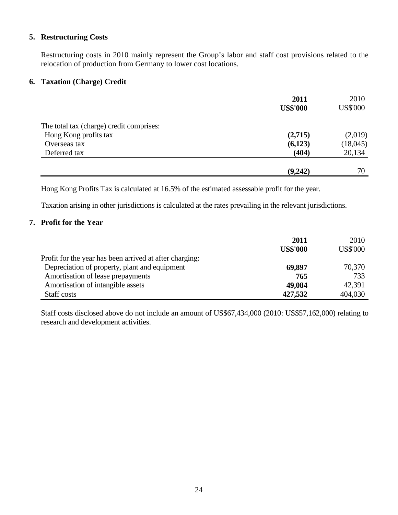## **5. Restructuring Costs**

Restructuring costs in 2010 mainly represent the Group's labor and staff cost provisions related to the relocation of production from Germany to lower cost locations.

### **6. Taxation (Charge) Credit**

|                                          | 2011<br><b>US\$'000</b> | 2010<br><b>US\$'000</b> |
|------------------------------------------|-------------------------|-------------------------|
| The total tax (charge) credit comprises: |                         |                         |
| Hong Kong profits tax                    | (2,715)                 | (2,019)                 |
| Overseas tax                             | (6,123)                 | (18,045)                |
| Deferred tax                             | (404)                   | 20,134                  |
|                                          | (9,242)                 | 70                      |

Hong Kong Profits Tax is calculated at 16.5% of the estimated assessable profit for the year.

Taxation arising in other jurisdictions is calculated at the rates prevailing in the relevant jurisdictions.

## **7. Profit for the Year**

|                                                         | 2011<br><b>US\$'000</b> | 2010<br><b>US\$'000</b> |
|---------------------------------------------------------|-------------------------|-------------------------|
| Profit for the year has been arrived at after charging: |                         |                         |
| Depreciation of property, plant and equipment           | 69,897                  | 70,370                  |
| Amortisation of lease prepayments                       | 765                     | 733                     |
| Amortisation of intangible assets                       | 49,084                  | 42,391                  |
| Staff costs                                             | 427,532                 | 404,030                 |

Staff costs disclosed above do not include an amount of US\$67,434,000 (2010: US\$57,162,000) relating to research and development activities.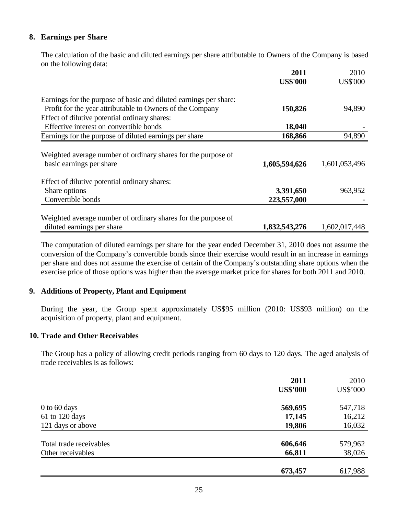## **8. Earnings per Share**

 The calculation of the basic and diluted earnings per share attributable to Owners of the Company is based on the following data:

|                                                                                           | 2011            | 2010            |
|-------------------------------------------------------------------------------------------|-----------------|-----------------|
|                                                                                           | <b>US\$'000</b> | <b>US\$'000</b> |
| Earnings for the purpose of basic and diluted earnings per share:                         |                 |                 |
| Profit for the year attributable to Owners of the Company                                 | 150,826         | 94,890          |
| Effect of dilutive potential ordinary shares:                                             |                 |                 |
| Effective interest on convertible bonds                                                   | 18,040          |                 |
| Earnings for the purpose of diluted earnings per share                                    | 168,866         | 94,890          |
| Weighted average number of ordinary shares for the purpose of<br>basic earnings per share | 1,605,594,626   | 1,601,053,496   |
| Effect of dilutive potential ordinary shares:                                             |                 |                 |
| Share options                                                                             | 3,391,650       | 963,952         |
| Convertible bonds                                                                         | 223,557,000     |                 |
| Weighted average number of ordinary shares for the purpose of                             |                 |                 |
| diluted earnings per share                                                                | 1,832,543,276   | 1,602,017,448   |

 The computation of diluted earnings per share for the year ended December 31, 2010 does not assume the conversion of the Company's convertible bonds since their exercise would result in an increase in earnings per share and does not assume the exercise of certain of the Company's outstanding share options when the exercise price of those options was higher than the average market price for shares for both 2011 and 2010.

### **9. Additions of Property, Plant and Equipment**

 During the year, the Group spent approximately US\$95 million (2010: US\$93 million) on the acquisition of property, plant and equipment.

### **10. Trade and Other Receivables**

The Group has a policy of allowing credit periods ranging from 60 days to 120 days. The aged analysis of trade receivables is as follows:

|                         | 2011            | 2010     |
|-------------------------|-----------------|----------|
|                         | <b>US\$'000</b> | US\$'000 |
| $0$ to 60 days          | 569,695         | 547,718  |
| 61 to 120 days          | 17,145          | 16,212   |
| 121 days or above       | 19,806          | 16,032   |
| Total trade receivables | 606,646         | 579,962  |
| Other receivables       | 66,811          | 38,026   |
|                         | 673,457         | 617,988  |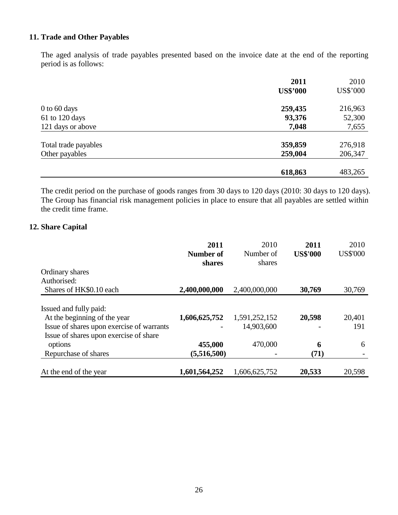# **11. Trade and Other Payables**

The aged analysis of trade payables presented based on the invoice date at the end of the reporting period is as follows:

|                      | 2011            | 2010     |
|----------------------|-----------------|----------|
|                      | <b>US\$'000</b> | US\$'000 |
| $0$ to 60 days       | 259,435         | 216,963  |
| 61 to 120 days       | 93,376          | 52,300   |
| 121 days or above    | 7,048           | 7,655    |
| Total trade payables | 359,859         | 276,918  |
| Other payables       | 259,004         | 206,347  |
|                      | 618,863         | 483,265  |

The credit period on the purchase of goods ranges from 30 days to 120 days (2010: 30 days to 120 days). The Group has financial risk management policies in place to ensure that all payables are settled within the credit time frame.

## **12. Share Capital**

|                                                                                                                                               | 2011<br>Number of<br>shares | 2010<br>Number of<br>shares | 2011<br><b>US\$'000</b> | 2010<br><b>US\$'000</b> |
|-----------------------------------------------------------------------------------------------------------------------------------------------|-----------------------------|-----------------------------|-------------------------|-------------------------|
| Ordinary shares                                                                                                                               |                             |                             |                         |                         |
| Authorised:                                                                                                                                   |                             |                             |                         |                         |
| Shares of HK\$0.10 each                                                                                                                       | 2,400,000,000               | 2,400,000,000               | 30,769                  | 30,769                  |
| Issued and fully paid:<br>At the beginning of the year<br>Issue of shares upon exercise of warrants<br>Issue of shares upon exercise of share | 1,606,625,752               | 1,591,252,152<br>14,903,600 | 20,598                  | 20,401<br>191           |
| options                                                                                                                                       | 455,000                     | 470,000                     | 6                       | 6                       |
| Repurchase of shares                                                                                                                          | (5,516,500)                 |                             | (71)                    |                         |
| At the end of the year                                                                                                                        | 1,601,564,252               | 1,606,625,752               | 20,533                  | 20,598                  |